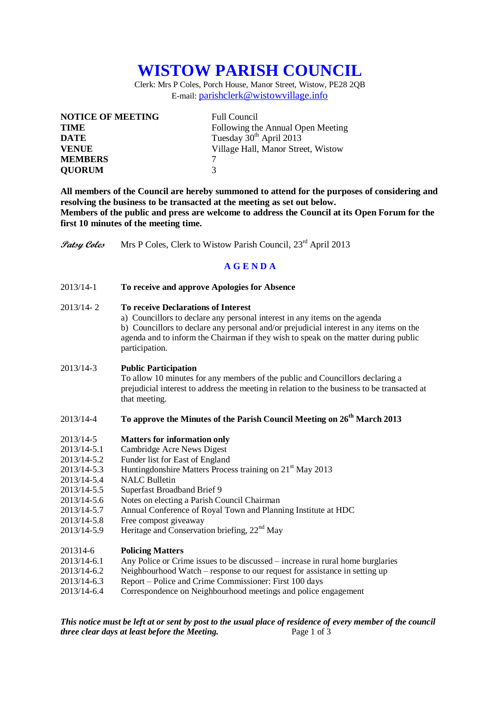# **WISTOW PARISH COUNCIL**

Clerk: Mrs P Coles, Porch House, Manor Street, Wistow, PE28 2QB E-mail: [parishclerk@wistowvillage.info](mailto:parishclerk@wistowvillage.info)

| <b>NOTICE OF MEETING</b> | <b>Full Council</b>                 |
|--------------------------|-------------------------------------|
| <b>TIME</b>              | Following the Annual Open Meeting   |
| <b>DATE</b>              | Tuesday 30 <sup>th</sup> April 2013 |
| <b>VENUE</b>             | Village Hall, Manor Street, Wistow  |
| <b>MEMBERS</b>           |                                     |
| <b>QUORUM</b>            | 3                                   |

**All members of the Council are hereby summoned to attend for the purposes of considering and resolving the business to be transacted at the meeting as set out below. Members of the public and press are welcome to address the Council at its Open Forum for the first 10 minutes of the meeting time.**

**Patsy Coles** Mrs P Coles, Clerk to Wistow Parish Council, 23<sup>rd</sup> April 2013

## **A G E N D A**

2013/14-1 **To receive and approve Apologies for Absence**

### 2013/14- 2 **To receive Declarations of Interest**

a) Councillors to declare any personal interest in any items on the agenda b) Councillors to declare any personal and/or prejudicial interest in any items on the agenda and to inform the Chairman if they wish to speak on the matter during public participation.

#### 2013/14-3 **Public Participation**

To allow 10 minutes for any members of the public and Councillors declaring a prejudicial interest to address the meeting in relation to the business to be transacted at that meeting.

## 2013/14-4 **To approve the Minutes of the Parish Council Meeting on 26 th March 2013**

#### 2013/14-5 **Matters for information only**

- 2013/14-5.1 Cambridge Acre News Digest
- 2013/14-5.2 Funder list for East of England
- 2013/14-5.3 Huntingdonshire Matters Process training on 21<sup>st</sup> May 2013
- 2013/14-5.4 NALC Bulletin
- 2013/14-5.5 Superfast Broadband Brief 9
- 2013/14-5.6 Notes on electing a Parish Council Chairman
- 2013/14-5.7 Annual Conference of Royal Town and Planning Institute at HDC
- 2013/14-5.8 Free compost giveaway
- 2013/14-5.9 Heritage and Conservation briefing,  $22<sup>nd</sup>$  May

#### 201314-6 **Policing Matters**

- 2013/14-6.1 Any Police or Crime issues to be discussed increase in rural home burglaries
- 2013/14-6.2 Neighbourhood Watch response to our request for assistance in setting up
- 2013/14-6.3 Report Police and Crime Commissioner: First 100 days
- 2013/14-6.4 Correspondence on Neighbourhood meetings and police engagement

*This notice must be left at or sent by post to the usual place of residence of every member of the council three clear days at least before the Meeting.* Page 1 of 3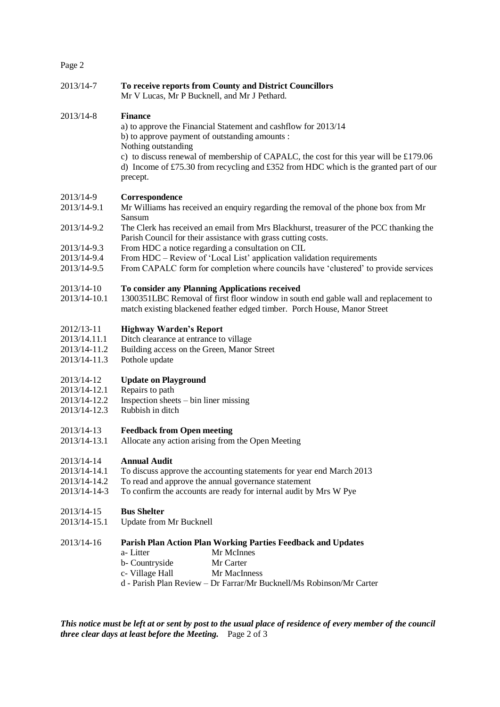|--|--|

| Page 2                                                                |                                                                                                                                                                                                                                                                                                                                                                                                         |
|-----------------------------------------------------------------------|---------------------------------------------------------------------------------------------------------------------------------------------------------------------------------------------------------------------------------------------------------------------------------------------------------------------------------------------------------------------------------------------------------|
| 2013/14-7                                                             | To receive reports from County and District Councillors<br>Mr V Lucas, Mr P Bucknell, and Mr J Pethard.                                                                                                                                                                                                                                                                                                 |
| 2013/14-8                                                             | <b>Finance</b><br>a) to approve the Financial Statement and cashflow for 2013/14<br>b) to approve payment of outstanding amounts :<br>Nothing outstanding<br>c) to discuss renewal of membership of CAPALC, the cost for this year will be £179.06<br>d) Income of £75.30 from recycling and £352 from HDC which is the granted part of our<br>precept.                                                 |
| 2013/14-9<br>2013/14-9.1<br>2013/14-9.2<br>2013/14-9.3<br>2013/14-9.4 | Correspondence<br>Mr Williams has received an enquiry regarding the removal of the phone box from Mr<br>Sansum<br>The Clerk has received an email from Mrs Blackhurst, treasurer of the PCC thanking the<br>Parish Council for their assistance with grass cutting costs.<br>From HDC a notice regarding a consultation on CIL<br>From HDC – Review of 'Local List' application validation requirements |
| 2013/14-9.5<br>2013/14-10<br>2013/14-10.1                             | From CAPALC form for completion where councils have 'clustered' to provide services<br>To consider any Planning Applications received<br>1300351LBC Removal of first floor window in south end gable wall and replacement to<br>match existing blackened feather edged timber. Porch House, Manor Street                                                                                                |
| 2012/13-11<br>2013/14.11.1<br>2013/14-11.2<br>2013/14-11.3            | <b>Highway Warden's Report</b><br>Ditch clearance at entrance to village<br>Building access on the Green, Manor Street<br>Pothole update                                                                                                                                                                                                                                                                |
| 2013/14-12<br>2013/14-12.1<br>2013/14-12.2<br>2013/14-12.3            | <b>Update on Playground</b><br>Repairs to path<br>Inspection sheets - bin liner missing<br>Rubbish in ditch                                                                                                                                                                                                                                                                                             |
| 2013/14-13<br>2013/14-13.1                                            | <b>Feedback from Open meeting</b><br>Allocate any action arising from the Open Meeting                                                                                                                                                                                                                                                                                                                  |
| 2013/14-14<br>2013/14-14.1<br>2013/14-14.2<br>2013/14-14-3            | <b>Annual Audit</b><br>To discuss approve the accounting statements for year end March 2013<br>To read and approve the annual governance statement<br>To confirm the accounts are ready for internal audit by Mrs W Pye                                                                                                                                                                                 |
| 2013/14-15<br>2013/14-15.1                                            | <b>Bus Shelter</b><br>Update from Mr Bucknell                                                                                                                                                                                                                                                                                                                                                           |
| 2013/14-16                                                            | Parish Plan Action Plan Working Parties Feedback and Updates<br>Mr McInnes<br>a-Litter<br>b- Countryside<br>Mr Carter                                                                                                                                                                                                                                                                                   |

- c- Village Hall Mr MacInness
- d Parish Plan Review Dr Farrar/Mr Bucknell/Ms Robinson/Mr Carter

*This notice must be left at or sent by post to the usual place of residence of every member of the council three clear days at least before the Meeting.* Page 2 of 3